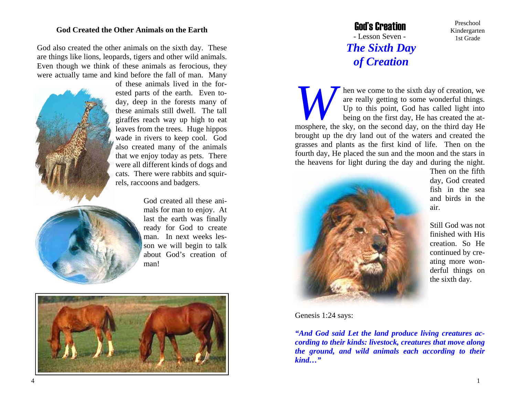## **God Created the Other Animals on the Earth**

God also created the other animals on the sixth day. These are things like lions, leopards, tigers and other wild animals. Even though we think of these animals as ferocious, they were actually tame and kind before the fall of man. Many



of these animals lived in the forested parts of the earth. Even today, deep in the forests many of these animals still dwell. The tall giraffes reach way up high to eat leaves from the trees. Huge hippos wade in rivers to keep cool. God also created many of the animals that we enjoy today as pets. There were all different kinds of dogs and cats. There were rabbits and squirrels, raccoons and badgers.

> God created all these animals for man to enjoy. At last the earth was finally ready for God to create man. In next weeks lesson we will begin to talk about God's creation of man!



## God's Creation - Lesson Seven -  *The Sixth Day of Creation*

*Where the sixth day of creation, we* are really getting to some wonderful things. Up to this point, God has called light into being on the first day, He has created the atmosphere, the sky, on the second day, on the third day He brought up the dry land out of the waters and created the grasses and plants as the first kind of life. Then on the fourth day, He placed the sun and the moon and the stars in the heavens for light during the day and during the night.



Then on the fifth day, God created fish in the sea and birds in the air.

Preschool Kindergarten 1st Grade

Still God was not finished with His creation. So He continued by creating more wonderful things on the sixth day.

Genesis 1:24 says:

*"And God said Let the land produce living creatures according to their kinds: livestock, creatures that move along the ground, and wild animals each according to their kind…"*